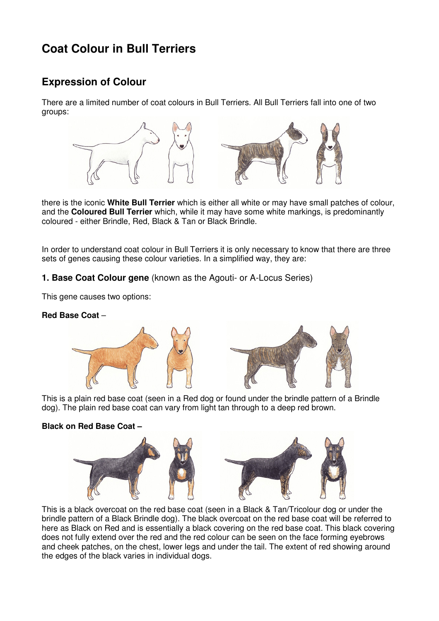# **Coat Colour in Bull Terriers**

## **Expression of Colour**

There are a limited number of coat colours in Bull Terriers. All Bull Terriers fall into one of two groups:



there is the iconic **White Bull Terrier** which is either all white or may have small patches of colour, and the **Coloured Bull Terrier** which, while it may have some white markings, is predominantly coloured - either Brindle, Red, Black & Tan or Black Brindle.

In order to understand coat colour in Bull Terriers it is only necessary to know that there are three sets of genes causing these colour varieties. In a simplified way, they are:

### **1. Base Coat Colour gene** (known as the Agouti- or A-Locus Series)

This gene causes two options:

#### **Red Base Coat** –





This is a plain red base coat (seen in a Red dog or found under the brindle pattern of a Brindle dog). The plain red base coat can vary from light tan through to a deep red brown.

#### **Black on Red Base Coat –**



This is a black overcoat on the red base coat (seen in a Black & Tan/Tricolour dog or under the brindle pattern of a Black Brindle dog). The black overcoat on the red base coat will be referred to here as Black on Red and is essentially a black covering on the red base coat. This black covering does not fully extend over the red and the red colour can be seen on the face forming eyebrows and cheek patches, on the chest, lower legs and under the tail. The extent of red showing around the edges of the black varies in individual dogs.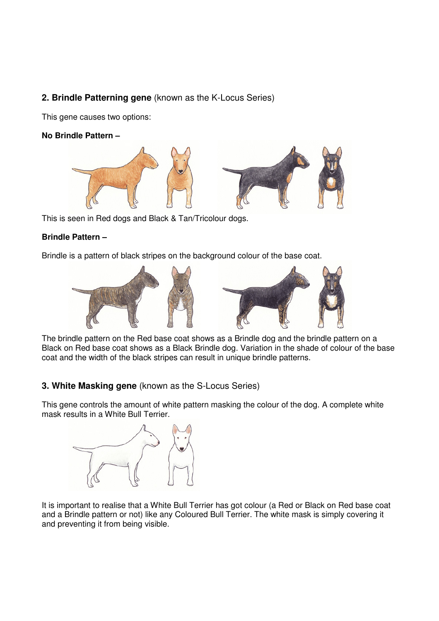## **2. Brindle Patterning gene** (known as the K-Locus Series)

This gene causes two options:

**No Brindle Pattern –** 



This is seen in Red dogs and Black & Tan/Tricolour dogs.

#### **Brindle Pattern –**

Brindle is a pattern of black stripes on the background colour of the base coat.



The brindle pattern on the Red base coat shows as a Brindle dog and the brindle pattern on a Black on Red base coat shows as a Black Brindle dog. Variation in the shade of colour of the base coat and the width of the black stripes can result in unique brindle patterns.

## **3. White Masking gene** (known as the S-Locus Series)

This gene controls the amount of white pattern masking the colour of the dog. A complete white mask results in a White Bull Terrier.



It is important to realise that a White Bull Terrier has got colour (a Red or Black on Red base coat and a Brindle pattern or not) like any Coloured Bull Terrier. The white mask is simply covering it and preventing it from being visible.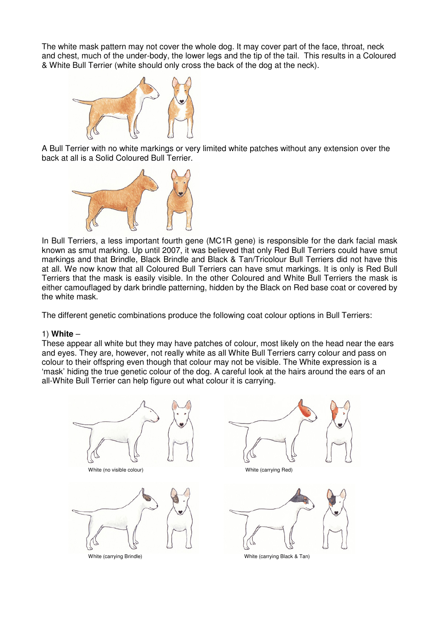The white mask pattern may not cover the whole dog. It may cover part of the face, throat, neck and chest, much of the under-body, the lower legs and the tip of the tail. This results in a Coloured & White Bull Terrier (white should only cross the back of the dog at the neck).



A Bull Terrier with no white markings or very limited white patches without any extension over the back at all is a Solid Coloured Bull Terrier.



In Bull Terriers, a less important fourth gene (MC1R gene) is responsible for the dark facial mask known as smut marking. Up until 2007, it was believed that only Red Bull Terriers could have smut markings and that Brindle, Black Brindle and Black & Tan/Tricolour Bull Terriers did not have this at all. We now know that all Coloured Bull Terriers can have smut markings. It is only is Red Bull Terriers that the mask is easily visible. In the other Coloured and White Bull Terriers the mask is either camouflaged by dark brindle patterning, hidden by the Black on Red base coat or covered by the white mask.

The different genetic combinations produce the following coat colour options in Bull Terriers:

#### 1) **White** –

These appear all white but they may have patches of colour, most likely on the head near the ears and eyes. They are, however, not really white as all White Bull Terriers carry colour and pass on colour to their offspring even though that colour may not be visible. The White expression is a 'mask' hiding the true genetic colour of the dog. A careful look at the hairs around the ears of an all-White Bull Terrier can help figure out what colour it is carrying.

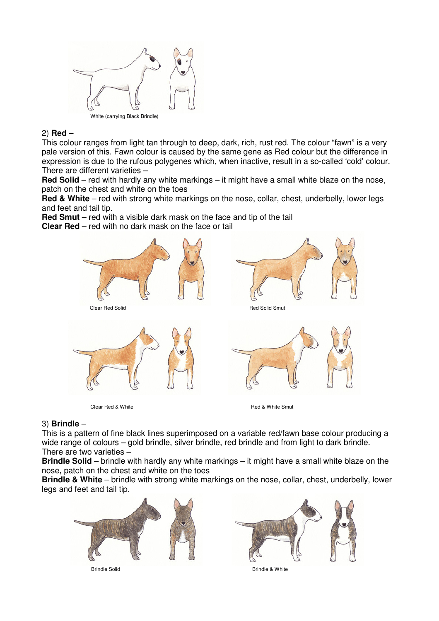

#### 2) **Red** –

This colour ranges from light tan through to deep, dark, rich, rust red. The colour "fawn" is a very pale version of this. Fawn colour is caused by the same gene as Red colour but the difference in expression is due to the rufous polygenes which, when inactive, result in a so-called 'cold' colour. There are different varieties –

**Red Solid** – red with hardly any white markings – it might have a small white blaze on the nose, patch on the chest and white on the toes

**Red & White** – red with strong white markings on the nose, collar, chest, underbelly, lower legs and feet and tail tip.

**Red Smut** – red with a visible dark mask on the face and tip of the tail

**Clear Red** – red with no dark mask on the face or tail



#### 3) **Brindle** –

This is a pattern of fine black lines superimposed on a variable red/fawn base colour producing a wide range of colours – gold brindle, silver brindle, red brindle and from light to dark brindle. There are two varieties –

**Brindle Solid** – brindle with hardly any white markings – it might have a small white blaze on the nose, patch on the chest and white on the toes

**Brindle & White** – brindle with strong white markings on the nose, collar, chest, underbelly, lower legs and feet and tail tip.





Brindle Solid Brindle & White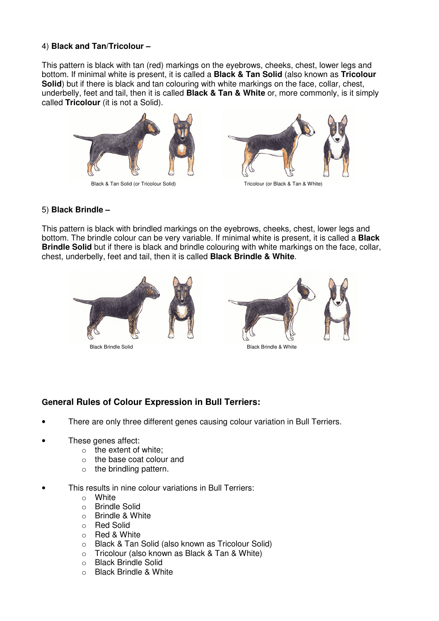#### 4) **Black and Tan/Tricolour –**

This pattern is black with tan (red) markings on the eyebrows, cheeks, chest, lower legs and bottom. If minimal white is present, it is called a **Black & Tan Solid** (also known as **Tricolour Solid**) but if there is black and tan colouring with white markings on the face, collar, chest, underbelly, feet and tail, then it is called **Black & Tan & White** or, more commonly, is it simply called **Tricolour** (it is not a Solid).



#### 5) **Black Brindle –**

This pattern is black with brindled markings on the eyebrows, cheeks, chest, lower legs and bottom. The brindle colour can be very variable. If minimal white is present, it is called a **Black Brindle Solid** but if there is black and brindle colouring with white markings on the face, collar, chest, underbelly, feet and tail, then it is called **Black Brindle & White**.





Black Brindle Solid Black Brindle & White

## **General Rules of Colour Expression in Bull Terriers:**

- There are only three different genes causing colour variation in Bull Terriers.
- These genes affect:
	- $\circ$  the extent of white:
	- o the base coat colour and
	- $\circ$  the brindling pattern.
- This results in nine colour variations in Bull Terriers:
	- o White
	- o Brindle Solid
	- $\circ$  Brindle & White
	- o Red Solid
	- o Red & White
	- o Black & Tan Solid (also known as Tricolour Solid)
	- o Tricolour (also known as Black & Tan & White)
	- o Black Brindle Solid
	- o Black Brindle & White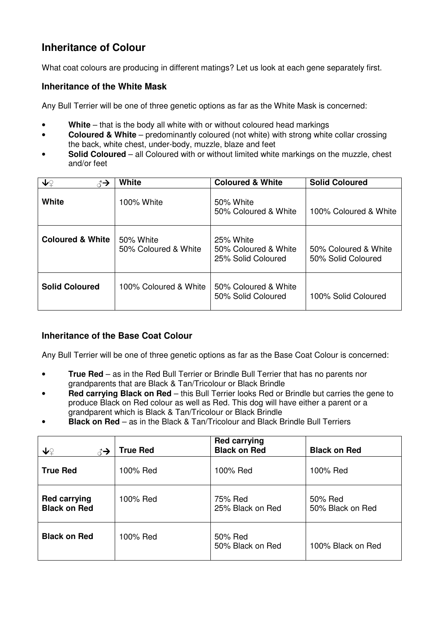## **Inheritance of Colour**

What coat colours are producing in different matings? Let us look at each gene separately first.

### **Inheritance of the White Mask**

Any Bull Terrier will be one of three genetic options as far as the White Mask is concerned:

- **White** that is the body all white with or without coloured head markings
- **Coloured & White** predominantly coloured (not white) with strong white collar crossing the back, white chest, under-body, muzzle, blaze and feet
- **Solid Coloured** all Coloured with or without limited white markings on the muzzle, chest and/or feet

| ↓♀<br>ੋ→                    | White                             | <b>Coloured &amp; White</b>                             | <b>Solid Coloured</b>                      |
|-----------------------------|-----------------------------------|---------------------------------------------------------|--------------------------------------------|
| White                       | 100% White                        | 50% White<br>50% Coloured & White                       | 100% Coloured & White                      |
| <b>Coloured &amp; White</b> | 50% White<br>50% Coloured & White | 25% White<br>50% Coloured & White<br>25% Solid Coloured | 50% Coloured & White<br>50% Solid Coloured |
| <b>Solid Coloured</b>       | 100% Coloured & White             | 50% Coloured & White<br>50% Solid Coloured              | 100% Solid Coloured                        |

## **Inheritance of the Base Coat Colour**

Any Bull Terrier will be one of three genetic options as far as the Base Coat Colour is concerned:

- **True Red** as in the Red Bull Terrier or Brindle Bull Terrier that has no parents nor grandparents that are Black & Tan/Tricolour or Black Brindle
- **Red carrying Black on Red** this Bull Terrier looks Red or Brindle but carries the gene to produce Black on Red colour as well as Red. This dog will have either a parent or a grandparent which is Black & Tan/Tricolour or Black Brindle
- **Black on Red** as in the Black & Tan/Tricolour and Black Brindle Bull Terriers

| ↓♀<br>∄→                                   | <b>True Red</b> | <b>Red carrying</b><br><b>Black on Red</b> | <b>Black on Red</b>         |
|--------------------------------------------|-----------------|--------------------------------------------|-----------------------------|
| <b>True Red</b>                            | 100% Red        | 100% Red                                   | 100% Red                    |
| <b>Red carrying</b><br><b>Black on Red</b> | 100% Red        | 75% Red<br>25% Black on Red                | 50% Red<br>50% Black on Red |
| <b>Black on Red</b>                        | 100% Red        | 50% Red<br>50% Black on Red                | 100% Black on Red           |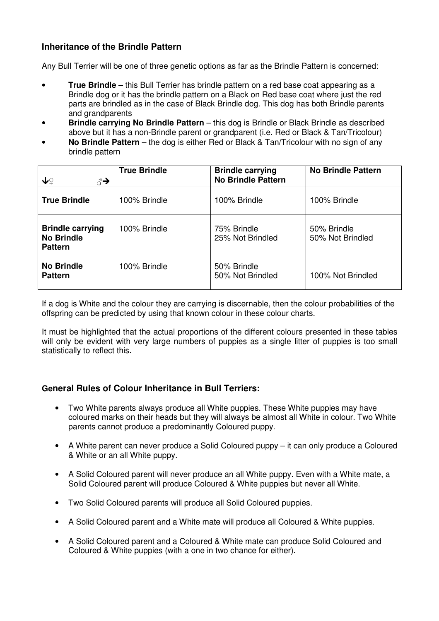## **Inheritance of the Brindle Pattern**

Any Bull Terrier will be one of three genetic options as far as the Brindle Pattern is concerned:

- **True Brindle** this Bull Terrier has brindle pattern on a red base coat appearing as a Brindle dog or it has the brindle pattern on a Black on Red base coat where just the red parts are brindled as in the case of Black Brindle dog. This dog has both Brindle parents and grandparents
- **Brindle carrying No Brindle Pattern** this dog is Brindle or Black Brindle as described above but it has a non-Brindle parent or grandparent (i.e. Red or Black & Tan/Tricolour)
- **No Brindle Pattern** the dog is either Red or Black & Tan/Tricolour with no sign of any brindle pattern

| ↓♀<br>₹→                                                       | <b>True Brindle</b> | <b>Brindle carrying</b><br><b>No Brindle Pattern</b> | <b>No Brindle Pattern</b>       |
|----------------------------------------------------------------|---------------------|------------------------------------------------------|---------------------------------|
| <b>True Brindle</b>                                            | 100% Brindle        | 100% Brindle                                         | 100% Brindle                    |
| <b>Brindle carrying</b><br><b>No Brindle</b><br><b>Pattern</b> | 100% Brindle        | 75% Brindle<br>25% Not Brindled                      | 50% Brindle<br>50% Not Brindled |
| <b>No Brindle</b><br><b>Pattern</b>                            | 100% Brindle        | 50% Brindle<br>50% Not Brindled                      | 100% Not Brindled               |

If a dog is White and the colour they are carrying is discernable, then the colour probabilities of the offspring can be predicted by using that known colour in these colour charts.

It must be highlighted that the actual proportions of the different colours presented in these tables will only be evident with very large numbers of puppies as a single litter of puppies is too small statistically to reflect this.

#### **General Rules of Colour Inheritance in Bull Terriers:**

- Two White parents always produce all White puppies. These White puppies may have coloured marks on their heads but they will always be almost all White in colour. Two White parents cannot produce a predominantly Coloured puppy.
- A White parent can never produce a Solid Coloured puppy it can only produce a Coloured & White or an all White puppy.
- A Solid Coloured parent will never produce an all White puppy. Even with a White mate, a Solid Coloured parent will produce Coloured & White puppies but never all White.
- Two Solid Coloured parents will produce all Solid Coloured puppies.
- A Solid Coloured parent and a White mate will produce all Coloured & White puppies.
- A Solid Coloured parent and a Coloured & White mate can produce Solid Coloured and Coloured & White puppies (with a one in two chance for either).